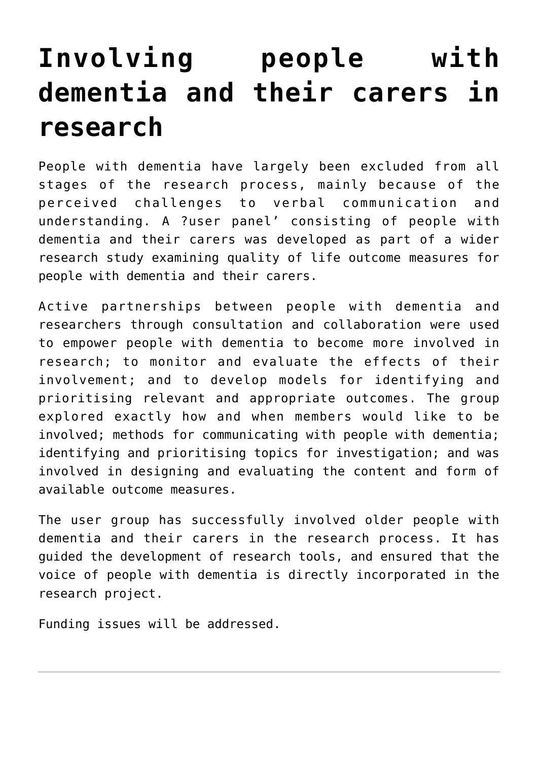## **[Involving people with](https://www.invo.org.uk/posttypeconference/involving-people-with-dementia-and-their-carers-in-research/) [dementia and their carers in](https://www.invo.org.uk/posttypeconference/involving-people-with-dementia-and-their-carers-in-research/) [research](https://www.invo.org.uk/posttypeconference/involving-people-with-dementia-and-their-carers-in-research/)**

People with dementia have largely been excluded from all stages of the research process, mainly because of the perceived challenges to verbal communication and understanding. A ?user panel' consisting of people with dementia and their carers was developed as part of a wider research study examining quality of life outcome measures for people with dementia and their carers.

Active partnerships between people with dementia and researchers through consultation and collaboration were used to empower people with dementia to become more involved in research; to monitor and evaluate the effects of their involvement; and to develop models for identifying and prioritising relevant and appropriate outcomes. The group explored exactly how and when members would like to be involved; methods for communicating with people with dementia; identifying and prioritising topics for investigation; and was involved in designing and evaluating the content and form of available outcome measures.

The user group has successfully involved older people with dementia and their carers in the research process. It has guided the development of research tools, and ensured that the voice of people with dementia is directly incorporated in the research project.

Funding issues will be addressed.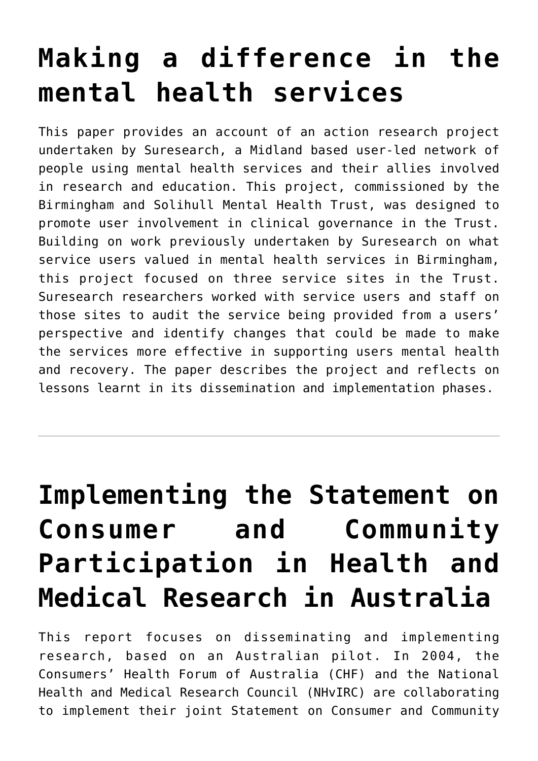## **[Making a difference in the](https://www.invo.org.uk/posttypeconference/making-a-difference-in-the-mental-health-services/) [mental health services](https://www.invo.org.uk/posttypeconference/making-a-difference-in-the-mental-health-services/)**

This paper provides an account of an action research project undertaken by Suresearch, a Midland based user-led network of people using mental health services and their allies involved in research and education. This project, commissioned by the Birmingham and Solihull Mental Health Trust, was designed to promote user involvement in clinical governance in the Trust. Building on work previously undertaken by Suresearch on what service users valued in mental health services in Birmingham, this project focused on three service sites in the Trust. Suresearch researchers worked with service users and staff on those sites to audit the service being provided from a users' perspective and identify changes that could be made to make the services more effective in supporting users mental health and recovery. The paper describes the project and reflects on lessons learnt in its dissemination and implementation phases.

# **[Implementing the Statement on](https://www.invo.org.uk/posttypeconference/implementing-the-statement-on-consumer-and-community-participation-in-health-and-medical-research-in-australia/) [Consumer and Community](https://www.invo.org.uk/posttypeconference/implementing-the-statement-on-consumer-and-community-participation-in-health-and-medical-research-in-australia/) [Participation in Health and](https://www.invo.org.uk/posttypeconference/implementing-the-statement-on-consumer-and-community-participation-in-health-and-medical-research-in-australia/) [Medical Research in Australia](https://www.invo.org.uk/posttypeconference/implementing-the-statement-on-consumer-and-community-participation-in-health-and-medical-research-in-australia/)**

This report focuses on disseminating and implementing research, based on an Australian pilot. In 2004, the Consumers' Health Forum of Australia (CHF) and the National Health and Medical Research Council (NHvIRC) are collaborating to implement their joint Statement on Consumer and Community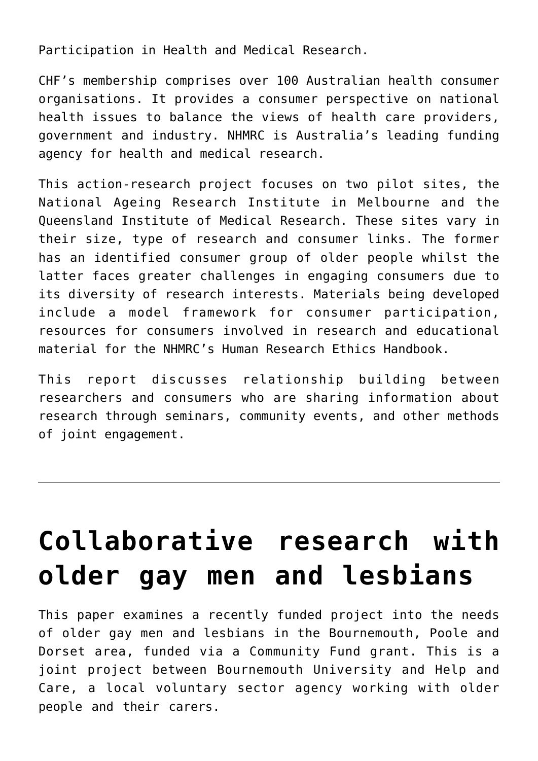Participation in Health and Medical Research.

CHF's membership comprises over 100 Australian health consumer organisations. It provides a consumer perspective on national health issues to balance the views of health care providers, government and industry. NHMRC is Australia's leading funding agency for health and medical research.

This action-research project focuses on two pilot sites, the National Ageing Research Institute in Melbourne and the Queensland Institute of Medical Research. These sites vary in their size, type of research and consumer links. The former has an identified consumer group of older people whilst the latter faces greater challenges in engaging consumers due to its diversity of research interests. Materials being developed include a model framework for consumer participation, resources for consumers involved in research and educational material for the NHMRC's Human Research Ethics Handbook.

This report discusses relationship building between researchers and consumers who are sharing information about research through seminars, community events, and other methods of joint engagement.

# **[Collaborative research with](https://www.invo.org.uk/posttypeconference/collaborative-research-with-older-gay-men-and-lesbians/) [older gay men and lesbians](https://www.invo.org.uk/posttypeconference/collaborative-research-with-older-gay-men-and-lesbians/)**

This paper examines a recently funded project into the needs of older gay men and lesbians in the Bournemouth, Poole and Dorset area, funded via a Community Fund grant. This is a joint project between Bournemouth University and Help and Care, a local voluntary sector agency working with older people and their carers.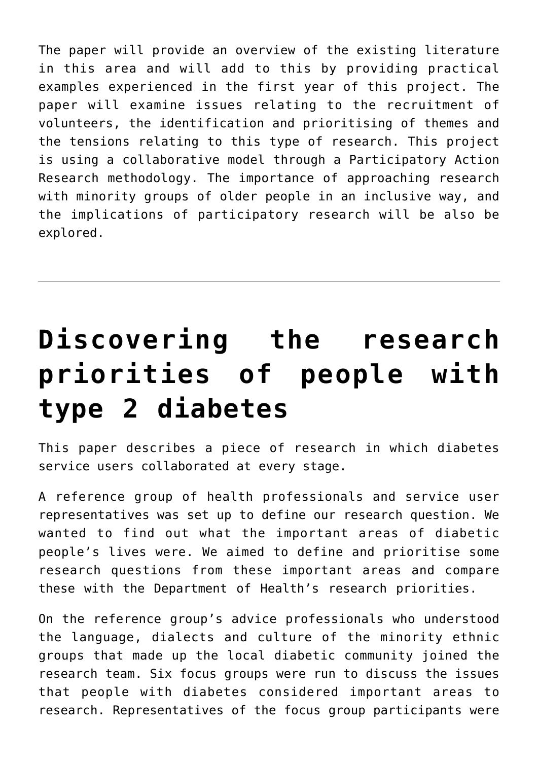The paper will provide an overview of the existing literature in this area and will add to this by providing practical examples experienced in the first year of this project. The paper will examine issues relating to the recruitment of volunteers, the identification and prioritising of themes and the tensions relating to this type of research. This project is using a collaborative model through a Participatory Action Research methodology. The importance of approaching research with minority groups of older people in an inclusive way, and the implications of participatory research will be also be explored.

# **[Discovering the research](https://www.invo.org.uk/posttypeconference/discovering-the-research-priorities-of-people-with-type-2-diabetes/) [priorities of people with](https://www.invo.org.uk/posttypeconference/discovering-the-research-priorities-of-people-with-type-2-diabetes/) [type 2 diabetes](https://www.invo.org.uk/posttypeconference/discovering-the-research-priorities-of-people-with-type-2-diabetes/)**

This paper describes a piece of research in which diabetes service users collaborated at every stage.

A reference group of health professionals and service user representatives was set up to define our research question. We wanted to find out what the important areas of diabetic people's lives were. We aimed to define and prioritise some research questions from these important areas and compare these with the Department of Health's research priorities.

On the reference group's advice professionals who understood the language, dialects and culture of the minority ethnic groups that made up the local diabetic community joined the research team. Six focus groups were run to discuss the issues that people with diabetes considered important areas to research. Representatives of the focus group participants were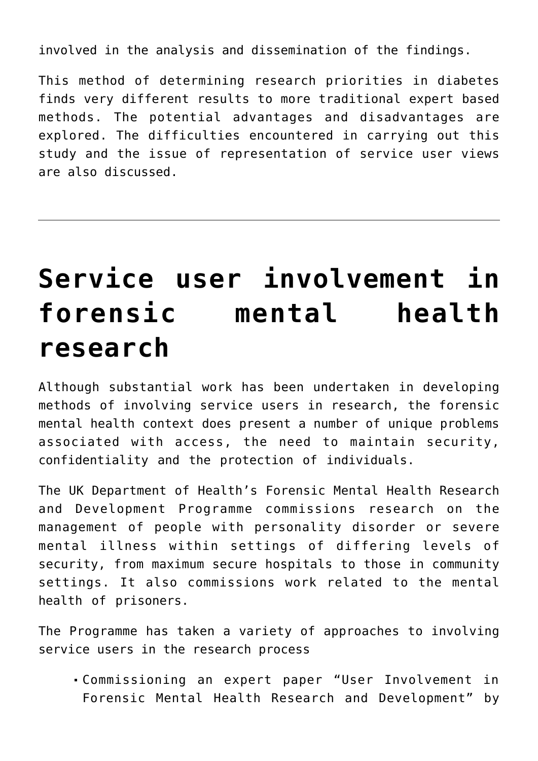involved in the analysis and dissemination of the findings.

This method of determining research priorities in diabetes finds very different results to more traditional expert based methods. The potential advantages and disadvantages are explored. The difficulties encountered in carrying out this study and the issue of representation of service user views are also discussed.

#### **[Service user involvement](https://www.invo.org.uk/posttypeconference/service-user-involvement-in-forensic-mental-health-research/) [in](https://www.invo.org.uk/posttypeconference/service-user-involvement-in-forensic-mental-health-research/) [forensic mental health](https://www.invo.org.uk/posttypeconference/service-user-involvement-in-forensic-mental-health-research/) [research](https://www.invo.org.uk/posttypeconference/service-user-involvement-in-forensic-mental-health-research/)**

Although substantial work has been undertaken in developing methods of involving service users in research, the forensic mental health context does present a number of unique problems associated with access, the need to maintain security, confidentiality and the protection of individuals.

The UK Department of Health's Forensic Mental Health Research and Development Programme commissions research on the management of people with personality disorder or severe mental illness within settings of differing levels of security, from maximum secure hospitals to those in community settings. It also commissions work related to the mental health of prisoners.

The Programme has taken a variety of approaches to involving service users in the research process

Commissioning an expert paper "User Involvement in Forensic Mental Health Research and Development" by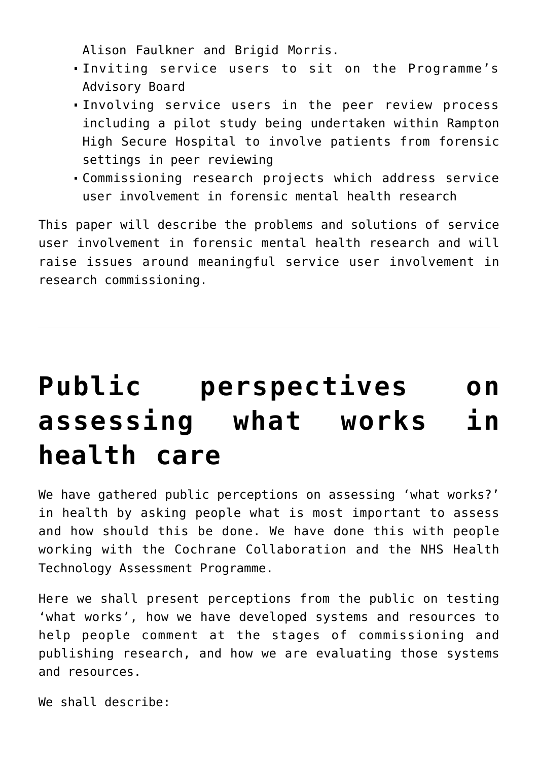Alison Faulkner and Brigid Morris.

- Inviting service users to sit on the Programme's Advisory Board
- Involving service users in the peer review process including a pilot study being undertaken within Rampton High Secure Hospital to involve patients from forensic settings in peer reviewing
- Commissioning research projects which address service user involvement in forensic mental health research

This paper will describe the problems and solutions of service user involvement in forensic mental health research and will raise issues around meaningful service user involvement in research commissioning.

# **[Public perspectives on](https://www.invo.org.uk/posttypeconference/public-perspectives-on-assessing-what-works-in-health-care/) [assessing what works in](https://www.invo.org.uk/posttypeconference/public-perspectives-on-assessing-what-works-in-health-care/) [health care](https://www.invo.org.uk/posttypeconference/public-perspectives-on-assessing-what-works-in-health-care/)**

We have gathered public perceptions on assessing 'what works?' in health by asking people what is most important to assess and how should this be done. We have done this with people working with the Cochrane Collaboration and the NHS Health Technology Assessment Programme.

Here we shall present perceptions from the public on testing 'what works', how we have developed systems and resources to help people comment at the stages of commissioning and publishing research, and how we are evaluating those systems and resources.

We shall describe: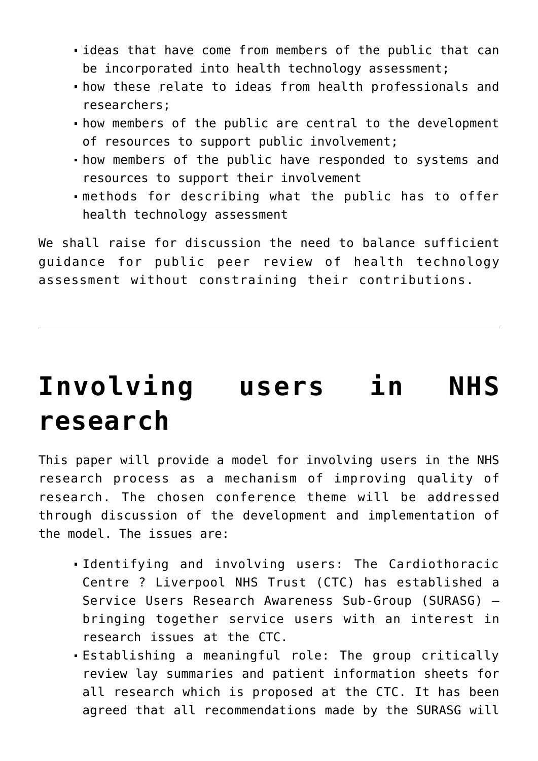- ideas that have come from members of the public that can be incorporated into health technology assessment;
- how these relate to ideas from health professionals and researchers;
- how members of the public are central to the development of resources to support public involvement;
- how members of the public have responded to systems and resources to support their involvement
- methods for describing what the public has to offer health technology assessment

We shall raise for discussion the need to balance sufficient guidance for public peer review of health technology assessment without constraining their contributions.

#### **[Involving users in NHS](https://www.invo.org.uk/posttypeconference/involving-users-in-nhs-research/) [research](https://www.invo.org.uk/posttypeconference/involving-users-in-nhs-research/)**

This paper will provide a model for involving users in the NHS research process as a mechanism of improving quality of research. The chosen conference theme will be addressed through discussion of the development and implementation of the model. The issues are:

- Identifying and involving users: The Cardiothoracic Centre ? Liverpool NHS Trust (CTC) has established a Service Users Research Awareness Sub-Group (SURASG) – bringing together service users with an interest in research issues at the CTC.
- Establishing a meaningful role: The group critically review lay summaries and patient information sheets for all research which is proposed at the CTC. It has been agreed that all recommendations made by the SURASG will